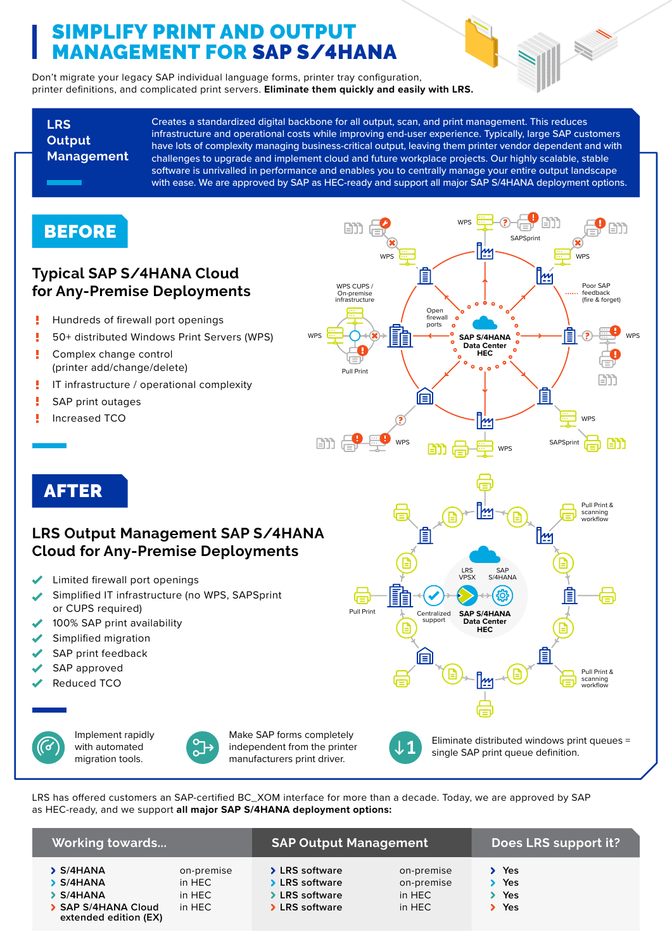# SIMPLIFY PRINT AND OUTPUT MANAGEMENT FOR SAP S/4HANA

Don't migrate your legacy SAP individual language forms, printer tray configuration, printer definitions, and complicated print servers. **Eliminate them quickly and easily with LRS.**

**LRS Output Management**

Creates a standardized digital backbone for all output, scan, and print management. This reduces infrastructure and operational costs while improving end-user experience. Typically, large SAP customers have lots of complexity managing business-critical output, leaving them printer vendor dependent and with challenges to upgrade and implement cloud and future workplace projects. Our highly scalable, stable software is unrivalled in performance and enables you to centrally manage your entire output landscape with ease. We are approved by SAP as HEC-ready and support all major SAP S/4HANA deployment options.

### **BEFORE**

### **Typical SAP S/4HANA Cloud for Any-Premise Deployments**

- I Hundreds of firewall port openings
- I 50+ distributed Windows Print Servers (WPS)
- ij. Complex change control (printer add/change/delete)
- ľ IT infrastructure / operational complexity
- Ī SAP print outages
- Increased TCO Ľ



## AFTER

### **LRS Output Management SAP S/4HANA Cloud for Any-Premise Deployments**

- Limited firewall port openings
- Simplified IT infrastructure (no WPS, SAPSprint or CUPS required)
- 100% SAP print availability
- Simplified migration
- SAP print feedback
- SAP approved
- Reduced TCO

|--|

Implement rapidly with automated migration tools.



Make SAP forms completely independent from the printer manufacturers print driver.

LRS has offered customers an SAP-certified BC\_XOM interface for more than a decade. Today, we are approved by SAP as HEC-ready, and we support **all major SAP S/4HANA deployment options:**

| <b>Working towards</b>                                                        |                                          | <b>SAP Output Management</b>                                         |                                              | Does LRS support it?     |
|-------------------------------------------------------------------------------|------------------------------------------|----------------------------------------------------------------------|----------------------------------------------|--------------------------|
| > S/4HANA<br>S/4HANA<br>S/4HANA<br>SAP S/4HANA Cloud<br>extended edition (EX) | on-premise<br>in HEC<br>in HEC<br>in HEC | > LRS software<br>> LRS software<br>> LRS software<br>> LRS software | on-premise<br>on-premise<br>in HEC<br>in HEC | Yes<br>Yes<br>Yes<br>Yes |